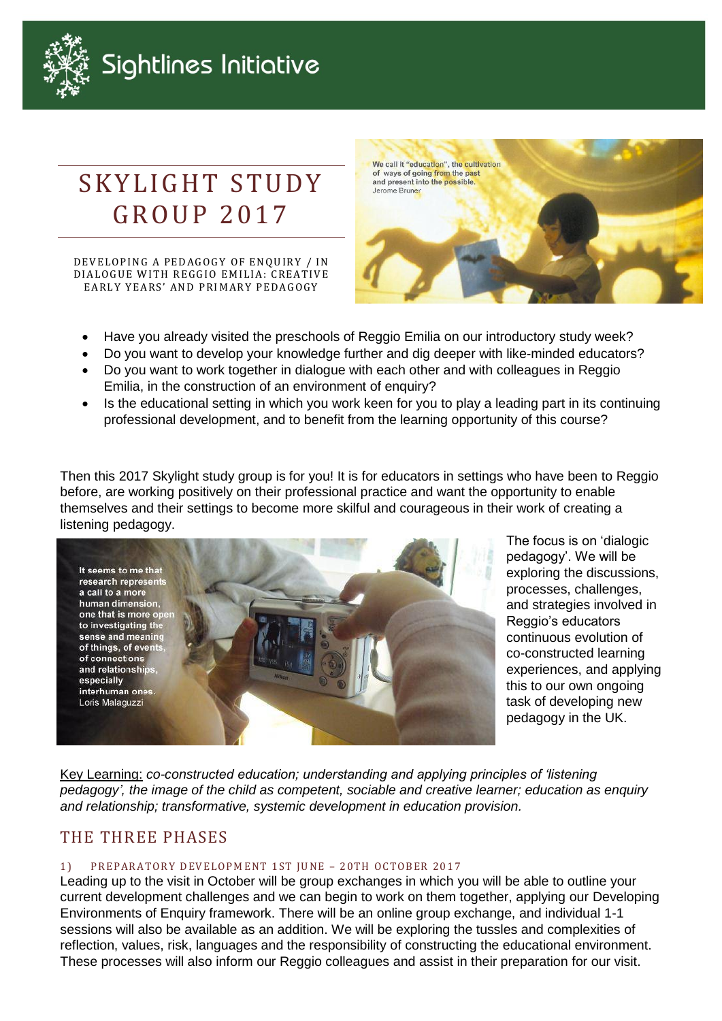

## Sightlines Initiative

# SKYLIGHT STUDY **GROUP 2017**

DEVELOPING A PEDAGOGY OF ENQUIRY / IN DIALOGUE WITH REGGIO EMILIA: CREATIVE EARLY YEARS' AND PRIMARY PEDAGOGY



- Have you already visited the preschools of Reggio Emilia on our introductory study week?
- Do you want to develop your knowledge further and dig deeper with like-minded educators?
- Do you want to work together in dialogue with each other and with colleagues in Reggio Emilia, in the construction of an environment of enquiry?
- Is the educational setting in which you work keen for you to play a leading part in its continuing professional development, and to benefit from the learning opportunity of this course?

Then this 2017 Skylight study group is for you! It is for educators in settings who have been to Reggio before, are working positively on their professional practice and want the opportunity to enable themselves and their settings to become more skilful and courageous in their work of creating a listening pedagogy.



The focus is on 'dialogic pedagogy'. We will be exploring the discussions, processes, challenges, and strategies involved in Reggio's educators continuous evolution of co-constructed learning experiences, and applying this to our own ongoing task of developing new pedagogy in the UK.

Key Learning: *co-constructed education; understanding and applying principles of 'listening pedagogy', the image of the child as competent, sociable and creative learner; education as enquiry and relationship; transformative, systemic development in education provision.*

## THE THREE PHASES

#### 1) PREPARATORY DEVELOPMENT 1ST JUNE - 20TH OCTOBER 2017

Leading up to the visit in October will be group exchanges in which you will be able to outline your current development challenges and we can begin to work on them together, applying our Developing Environments of Enquiry framework. There will be an online group exchange, and individual 1-1 sessions will also be available as an addition. We will be exploring the tussles and complexities of reflection, values, risk, languages and the responsibility of constructing the educational environment. These processes will also inform our Reggio colleagues and assist in their preparation for our visit.